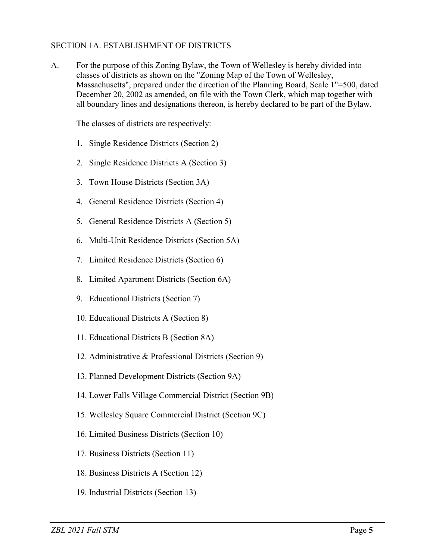## SECTION 1A. ESTABLISHMENT OF DISTRICTS

A. For the purpose of this Zoning Bylaw, the Town of Wellesley is hereby divided into classes of districts as shown on the "Zoning Map of the Town of Wellesley, Massachusetts", prepared under the direction of the Planning Board, Scale 1"=500, dated December 20, 2002 as amended, on file with the Town Clerk, which map together with all boundary lines and designations thereon, is hereby declared to be part of the Bylaw.

The classes of districts are respectively:

- 1. Single Residence Districts (Section 2)
- 2. Single Residence Districts A (Section 3)
- 3. Town House Districts (Section 3A)
- 4. General Residence Districts (Section 4)
- 5. General Residence Districts A (Section 5)
- 6. Multi-Unit Residence Districts (Section 5A)
- 7. Limited Residence Districts (Section 6)
- 8. Limited Apartment Districts (Section 6A)
- 9. Educational Districts (Section 7)
- 10. Educational Districts A (Section 8)
- 11. Educational Districts B (Section 8A)
- 12. Administrative & Professional Districts (Section 9)
- 13. Planned Development Districts (Section 9A)
- 14. Lower Falls Village Commercial District (Section 9B)
- 15. Wellesley Square Commercial District (Section 9C)
- 16. Limited Business Districts (Section 10)
- 17. Business Districts (Section 11)
- 18. Business Districts A (Section 12)
- 19. Industrial Districts (Section 13)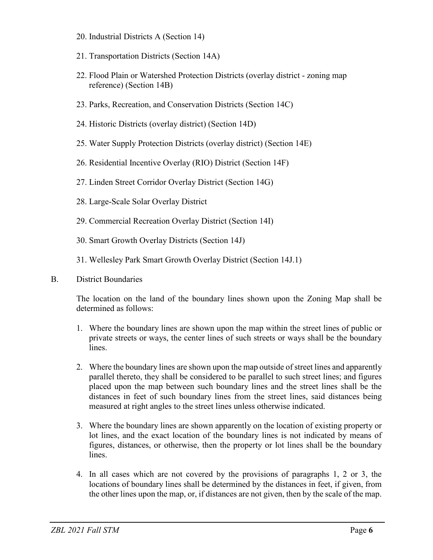- 20. Industrial Districts A (Section 14)
- 21. Transportation Districts (Section 14A)
- 22. Flood Plain or Watershed Protection Districts (overlay district zoning map reference) (Section 14B)
- 23. Parks, Recreation, and Conservation Districts (Section 14C)
- 24. Historic Districts (overlay district) (Section 14D)
- 25. Water Supply Protection Districts (overlay district) (Section 14E)
- 26. Residential Incentive Overlay (RIO) District (Section 14F)
- 27. Linden Street Corridor Overlay District (Section 14G)
- 28. Large-Scale Solar Overlay District
- 29. Commercial Recreation Overlay District (Section 14I)
- 30. Smart Growth Overlay Districts (Section 14J)
- 31. Wellesley Park Smart Growth Overlay District (Section 14J.1)
- B. District Boundaries

The location on the land of the boundary lines shown upon the Zoning Map shall be determined as follows:

- 1. Where the boundary lines are shown upon the map within the street lines of public or private streets or ways, the center lines of such streets or ways shall be the boundary lines.
- 2. Where the boundary lines are shown upon the map outside of street lines and apparently parallel thereto, they shall be considered to be parallel to such street lines; and figures placed upon the map between such boundary lines and the street lines shall be the distances in feet of such boundary lines from the street lines, said distances being measured at right angles to the street lines unless otherwise indicated.
- 3. Where the boundary lines are shown apparently on the location of existing property or lot lines, and the exact location of the boundary lines is not indicated by means of figures, distances, or otherwise, then the property or lot lines shall be the boundary lines.
- 4. In all cases which are not covered by the provisions of paragraphs 1, 2 or 3, the locations of boundary lines shall be determined by the distances in feet, if given, from the other lines upon the map, or, if distances are not given, then by the scale of the map.